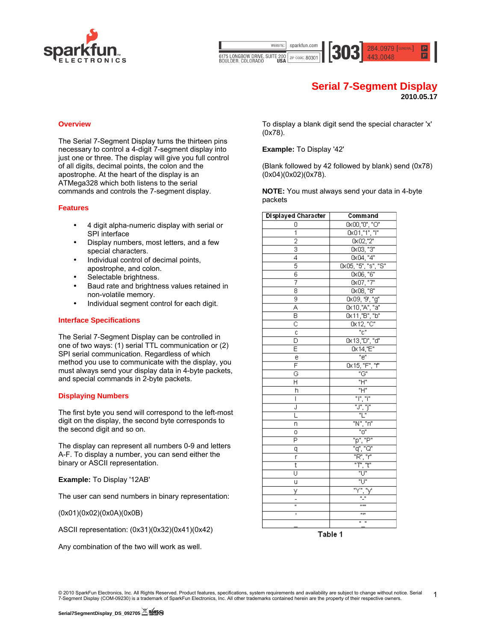

sparkfun.com WEBSITE: 284.0979 [GENERAL] 6175 LONGBOW DRIVE, SUITE 200<br>BOULDER, COLORADO USA ZIP CODE: 80301

# **Serial 7-Segment Display**

**2010.05.17**

# **Overview**

The Serial 7-Segment Display turns the thirteen pins necessary to control a 4-digit 7-segment display into just one or three. The display will give you full control of all digits, decimal points, the colon and the apostrophe. At the heart of the display is an ATMega328 which both listens to the serial commands and controls the 7-segment display.

#### **Features**

- 4 digit alpha-numeric display with serial or SPI interface
- Display numbers, most letters, and a few special characters.
- Individual control of decimal points, apostrophe, and colon.
- Selectable brightness.
- Baud rate and brightness values retained in non-volatile memory.
- Individual segment control for each digit.

#### **Interface Specifications**

The Serial 7-Segment Display can be controlled in one of two ways: (1) serial TTL communication or (2) SPI serial communication. Regardless of which method you use to communicate with the display, you must always send your display data in 4-byte packets, and special commands in 2-byte packets.

#### **Displaying Numbers**

The first byte you send will correspond to the left-most digit on the display, the second byte corresponds to the second digit and so on.

The display can represent all numbers 0-9 and letters A-F. To display a number, you can send either the binary or ASCII representation.

#### **Example:** To Display '12AB'

The user can send numbers in binary representation:

(0x01)(0x02)(0x0A)(0x0B)

ASCII representation: (0x31)(0x32)(0x41)(0x42)

Any combination of the two will work as well.

To display a blank digit send the special character 'x' (0x78).

#### **Example:** To Display '42'

(Blank followed by 42 followed by blank) send (0x78) (0x04)(0x02)(0x78).

**NOTE:** You must always send your data in 4-byte packets

| Displayed Character                  | Command                                                                                                                                                                                                                                                                                                                                                                                                                                                                           |  |
|--------------------------------------|-----------------------------------------------------------------------------------------------------------------------------------------------------------------------------------------------------------------------------------------------------------------------------------------------------------------------------------------------------------------------------------------------------------------------------------------------------------------------------------|--|
| 0                                    |                                                                                                                                                                                                                                                                                                                                                                                                                                                                                   |  |
| 1                                    | 0x00,"0", "0"<br>0x01,"1", "l"                                                                                                                                                                                                                                                                                                                                                                                                                                                    |  |
| $\overline{2}$                       |                                                                                                                                                                                                                                                                                                                                                                                                                                                                                   |  |
| $\overline{\overline{\overline{3}}}$ |                                                                                                                                                                                                                                                                                                                                                                                                                                                                                   |  |
| 4                                    |                                                                                                                                                                                                                                                                                                                                                                                                                                                                                   |  |
| 5                                    | $\begin{tabular}{ c c } \hline \text{0x01,"\textsuperscript{''}$''''''''} \\ \hline \hline \text{0x02,"\textsuperscript{''}$} \\ \hline \text{0x03,"\textsuperscript{''}$} \\ \hline \text{0x04,"\textsuperscript{''}$} \\ \hline \text{0x05,"\textsuperscript{''}$} \\ \hline \text{0x06,"\textsuperscript{''}$} \\ \hline \text{0x07,"\textsuperscript{''}$} \\ \hline \text{0x09,"\textsuperscript{''}$} \\ \hline \text{0x10,"\textsuperscript{''}$} \\ \hline \text{0x11,"\$ |  |
| 6                                    |                                                                                                                                                                                                                                                                                                                                                                                                                                                                                   |  |
| 7                                    |                                                                                                                                                                                                                                                                                                                                                                                                                                                                                   |  |
| 8                                    |                                                                                                                                                                                                                                                                                                                                                                                                                                                                                   |  |
| 9                                    |                                                                                                                                                                                                                                                                                                                                                                                                                                                                                   |  |
| Ā                                    |                                                                                                                                                                                                                                                                                                                                                                                                                                                                                   |  |
| $\overline{\mathsf{B}}$              |                                                                                                                                                                                                                                                                                                                                                                                                                                                                                   |  |
| $\overline{\overline{c}}$            |                                                                                                                                                                                                                                                                                                                                                                                                                                                                                   |  |
| $\overline{c}$                       | $\frac{1}{10}$                                                                                                                                                                                                                                                                                                                                                                                                                                                                    |  |
| Б                                    | 0x13,"D", "d"                                                                                                                                                                                                                                                                                                                                                                                                                                                                     |  |
| Ē                                    | 0x14, E''                                                                                                                                                                                                                                                                                                                                                                                                                                                                         |  |
| e                                    | "e"                                                                                                                                                                                                                                                                                                                                                                                                                                                                               |  |
| F                                    | 0x15, "F", "f"                                                                                                                                                                                                                                                                                                                                                                                                                                                                    |  |
| Ğ                                    | $\overline{G''}$                                                                                                                                                                                                                                                                                                                                                                                                                                                                  |  |
| Η                                    | "H"                                                                                                                                                                                                                                                                                                                                                                                                                                                                               |  |
| h                                    |                                                                                                                                                                                                                                                                                                                                                                                                                                                                                   |  |
| Ī                                    | <u>"I", "i"</u>                                                                                                                                                                                                                                                                                                                                                                                                                                                                   |  |
| J                                    |                                                                                                                                                                                                                                                                                                                                                                                                                                                                                   |  |
| L                                    | "L"                                                                                                                                                                                                                                                                                                                                                                                                                                                                               |  |
| n                                    | "N", "n"                                                                                                                                                                                                                                                                                                                                                                                                                                                                          |  |
| о                                    | $^{\circ}$ $^{\circ}$                                                                                                                                                                                                                                                                                                                                                                                                                                                             |  |
| $\overline{P}$                       | "p", "P"                                                                                                                                                                                                                                                                                                                                                                                                                                                                          |  |
| q                                    | "q", "Q"                                                                                                                                                                                                                                                                                                                                                                                                                                                                          |  |
| r                                    | "R", "r"                                                                                                                                                                                                                                                                                                                                                                                                                                                                          |  |
| t                                    | "T", "t"                                                                                                                                                                                                                                                                                                                                                                                                                                                                          |  |
| Ū                                    | ግ"ሀ"                                                                                                                                                                                                                                                                                                                                                                                                                                                                              |  |
| ū                                    |                                                                                                                                                                                                                                                                                                                                                                                                                                                                                   |  |
| y                                    |                                                                                                                                                                                                                                                                                                                                                                                                                                                                                   |  |
|                                      |                                                                                                                                                                                                                                                                                                                                                                                                                                                                                   |  |
| H                                    | 11 MH                                                                                                                                                                                                                                                                                                                                                                                                                                                                             |  |
| ī                                    | արա                                                                                                                                                                                                                                                                                                                                                                                                                                                                               |  |
|                                      | $\mathbf{u} = \mathbf{u}$                                                                                                                                                                                                                                                                                                                                                                                                                                                         |  |

Table 1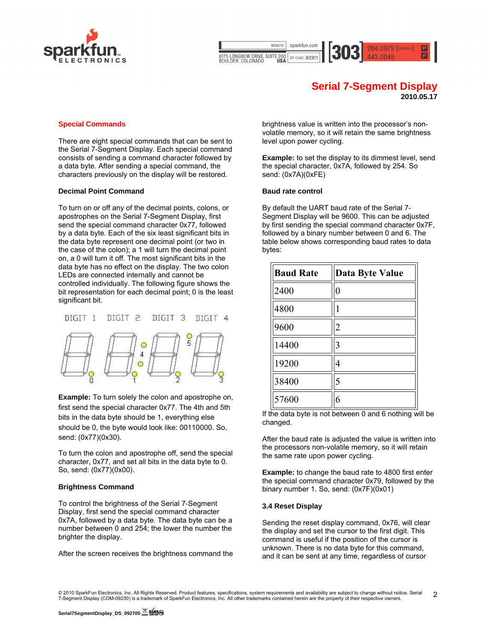

sparkfun.com WEBSITE: 284.0979 [GENERAL] 6175 LONGBOW DRIVE, SUITE 200<br>BOULDER, COLORADO USA ZIP CODE: 80301

# **Serial 7-Segment Display**

**2010.05.17**

# **Special Commands**

There are eight special commands that can be sent to the Serial 7-Segment Display. Each special command consists of sending a command character followed by a data byte. After sending a special command, the characters previously on the display will be restored.

# **Decimal Point Command**

To turn on or off any of the decimal points, colons, or apostrophes on the Serial 7-Segment Display, first send the special command character 0x77, followed by a data byte. Each of the six least significant bits in the data byte represent one decimal point (or two in the case of the colon); a 1 will turn the decimal point on, a 0 will turn it off. The most significant bits in the data byte has no effect on the display. The two colon LEDs are connected internally and cannot be controlled individually. The following figure shows the bit representation for each decimal point; 0 is the least significant bit.



**Example:** To turn solely the colon and apostrophe on, first send the special character 0x77. The 4th and 5th bits in the data byte should be 1, everything else should be 0, the byte would look like: 00110000. So, send: (0x77)(0x30).

To turn the colon and apostrophe off, send the special character, 0x77, and set all bits in the data byte to 0. So, send: (0x77)(0x00).

# **Brightness Command**

To control the brightness of the Serial 7-Segment Display, first send the special command character 0x7A, followed by a data byte. The data byte can be a number between 0 and 254; the lower the number the brighter the display.

After the screen receives the brightness command the

brightness value is written into the processor's nonvolatile memory, so it will retain the same brightness level upon power cycling.

**Example:** to set the display to its dimmest level, send the special character, 0x7A, followed by 254. So send: (0x7A)(0xFE)

#### **Baud rate control**

By default the UART baud rate of the Serial 7- Segment Display will be 9600. This can be adjusted by first sending the special command character 0x7F, followed by a binary number between 0 and 6. The table below shows corresponding baud rates to data bytes:

| <b>Baud Rate</b> | <b>Data Byte Value</b> |
|------------------|------------------------|
| 2400             | $\overline{0}$         |
| 4800             |                        |
| 9600             | $\overline{2}$         |
| 14400            | 3                      |
| 19200            | 4                      |
| 38400            | 5                      |
| 57600            | 6                      |

If the data byte is not between  $0$  and  $6$  nothing will be changed.

After the baud rate is adjusted the value is written into the processors non-volatile memory, so it will retain the same rate upon power cycling.

**Example:** to change the baud rate to 4800 first enter the special command character 0x79, followed by the binary number 1. So, send: (0x7F)(0x01)

# **3.4 Reset Display**

Sending the reset display command, 0x76, will clear the display and set the cursor to the first digit. This command is useful if the position of the cursor is unknown. There is no data byte for this command, and it can be sent at any time, regardless of cursor

<sup>© 2010</sup> SparkFun Electronics, Inc. All Rights Reserved. Product features, specifications, system requirements and availability are subject to change without notice. Serial 7-Segment Display (COM-09230) is a trademark of SparkFun Electronics, Inc. All other trademarks contained herein are the property of their respective owners. 2